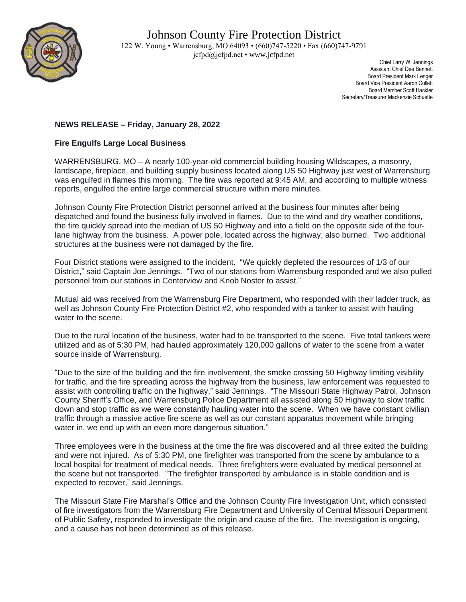

 Chief Larry W. Jennings Assistant Chief Dee Bennett Board President Mark Lenger Board Vice President Aaron Collett Board Member Scott Hackler Secretary/Treasurer Mackenzie Schuette

## **NEWS RELEASE – Friday, January 28, 2022**

## **Fire Engulfs Large Local Business**

WARRENSBURG, MO – A nearly 100-year-old commercial building housing Wildscapes, a masonry, landscape, fireplace, and building supply business located along US 50 Highway just west of Warrensburg was engulfed in flames this morning. The fire was reported at 9:45 AM, and according to multiple witness reports, engulfed the entire large commercial structure within mere minutes.

Johnson County Fire Protection District personnel arrived at the business four minutes after being dispatched and found the business fully involved in flames. Due to the wind and dry weather conditions, the fire quickly spread into the median of US 50 Highway and into a field on the opposite side of the fourlane highway from the business. A power pole, located across the highway, also burned. Two additional structures at the business were not damaged by the fire.

Four District stations were assigned to the incident. "We quickly depleted the resources of 1/3 of our District," said Captain Joe Jennings. "Two of our stations from Warrensburg responded and we also pulled personnel from our stations in Centerview and Knob Noster to assist."

Mutual aid was received from the Warrensburg Fire Department, who responded with their ladder truck, as well as Johnson County Fire Protection District #2, who responded with a tanker to assist with hauling water to the scene.

Due to the rural location of the business, water had to be transported to the scene. Five total tankers were utilized and as of 5:30 PM, had hauled approximately 120,000 gallons of water to the scene from a water source inside of Warrensburg.

"Due to the size of the building and the fire involvement, the smoke crossing 50 Highway limiting visibility for traffic, and the fire spreading across the highway from the business, law enforcement was requested to assist with controlling traffic on the highway," said Jennings. "The Missouri State Highway Patrol, Johnson County Sheriff's Office, and Warrensburg Police Department all assisted along 50 Highway to slow traffic down and stop traffic as we were constantly hauling water into the scene. When we have constant civilian traffic through a massive active fire scene as well as our constant apparatus movement while bringing water in, we end up with an even more dangerous situation."

Three employees were in the business at the time the fire was discovered and all three exited the building and were not injured. As of 5:30 PM, one firefighter was transported from the scene by ambulance to a local hospital for treatment of medical needs. Three firefighters were evaluated by medical personnel at the scene but not transported. "The firefighter transported by ambulance is in stable condition and is expected to recover," said Jennings.

The Missouri State Fire Marshal's Office and the Johnson County Fire Investigation Unit, which consisted of fire investigators from the Warrensburg Fire Department and University of Central Missouri Department of Public Safety, responded to investigate the origin and cause of the fire. The investigation is ongoing, and a cause has not been determined as of this release.